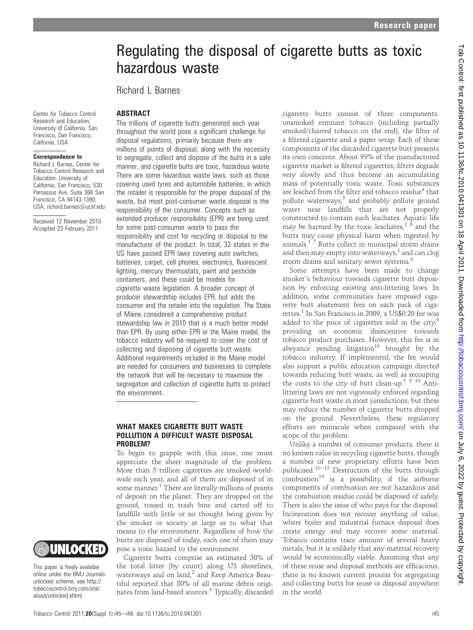# Regulating the disposal of cigarette butts as toxic hazardous waste

Richard L Barnes

## **ABSTRACT**

Center for Tobacco Control Research and Education, University of California, San Francisco, Dan Francisco, California, USA

#### Correspondence to

Richard L Barnes, Center for Tobacco Control Research and Education, University of California, San Francisco, 530 Parnassus Ave, Suite 366 San Francisco, CA 94143-1390; USA; richard.barnes@ucsf.edu

Received 12 November 2010 Accepted 23 February 2011

The trillions of cigarette butts generated each year throughout the world pose a significant challenge for disposal regulations, primarily because there are millions of points of disposal, along with the necessity to segregate, collect and dispose of the butts in a safe manner, and cigarette butts are toxic, hazardous waste. There are some hazardous waste laws, such as those covering used tyres and automobile batteries, in which the retailer is responsible for the proper disposal of the waste, but most post-consumer waste disposal is the responsibility of the consumer. Concepts such as extended producer responsibility (EPR) are being used for some post-consumer waste to pass the responsibility and cost for recycling or disposal to the manufacturer of the product. In total, 32 states in the US have passed EPR laws covering auto switches, batteries, carpet, cell phones, electronics, fluorescent lighting, mercury thermostats, paint and pesticide containers, and these could be models for cigarette waste legislation. A broader concept of producer stewardship includes EPR, but adds the consumer and the retailer into the regulation. The State of Maine considered a comprehensive product stewardship law in 2010 that is a much better model than EPR. By using either EPR or the Maine model, the tobacco industry will be required to cover the cost of collecting and disposing of cigarette butt waste. Additional requirements included in the Maine model are needed for consumers and businesses to complete the network that will be necessary to maximise the segregation and collection of cigarette butts to protect the environment.

## WHAT MAKES CIGARETTE BUTT WASTE POLLUTION A DIFFICULT WASTE DISPOSAL PROBLEM?

To begin to grapple with this issue, one must appreciate the sheer magnitude of the problem. More than 5 trillion cigarettes are smoked worldwide each year, and all of them are disposed of in some manner.<sup>1</sup> There are literally millions of points of deposit on the planet. They are dropped on the ground, tossed in trash bins and carted off to landfills with little or no thought being given by the smoker or society at large as to what that means to the environment. Regardless of how the butts are disposed of today, each one of them may pose a toxic hazard to the environment.

This paper is freely available online under the BMJ Journals unlocked scheme, see http:// tobaccocontrol.bmj.com/site/ about/unlocked.xhtml

UNLOCKED

Cigarette butts comprise an estimated 30% of the total litter (by count) along US shorelines, waterways and on land, $^2$  and Keep America Beautiful reported that 80% of all marine debris originates from land-based sources.<sup>3</sup> Typically, discarded

cigarette butts consist of three components: unsmoked remnant tobacco (including partially smoked/charred tobacco on the end), the filter of a filtered cigarette and a paper wrap. Each of these components of the discarded cigarette butt presents its own concerns. About 99% of the manufactured cigarette market is filtered cigarettes; filters degrade very slowly and thus become an accumulating mass of potentially toxic waste. Toxic substances are leached from the filter and tobacco residue<sup>4</sup> that pollute waterways, $5$  and probably pollute ground water near landfills that are not properly constructed to contain such leachates. Aquatic life may be harmed by the toxic leachates, $1/6$  and the butts may cause physical harm when ingested by animals. $17$  Butts collect in municipal storm drains and then may empty into waterways, $1$  and can clog storm drains and sanitary sewer systems.<sup>8</sup>

Some attempts have been made to change smoker's behaviour towards cigarette butt deposition by enforcing existing anti-littering laws. In addition, some communities have imposed cigarette butt abatement fees on each pack of cigarettes.<sup>1</sup> In San Francisco in 2009, a US\$0.20 fee was added to the price of cigarettes sold in the city, $9$ providing an economic disincentive towards tobacco product purchases. However, this fee is in abeyance pending litigation<sup>10</sup> brought by the tobacco industry. If implemented, the fee would also support a public education campaign directed towards reducing butt waste, as well as recouping the costs to the city of butt clean-up.<sup>1 9 10</sup> Antilittering laws are not vigorously enforced regarding cigarette butt waste in most jurisdictions, but these may reduce the number of cigarette butts dropped on the ground. Nevertheless, these regulatory efforts are miniscule when compared with the scope of the problem.

Unlike a number of consumer products, there is no known value in recycling cigarette butts, though a number of new proprietary efforts have been publicised.<sup>11-13</sup> Destruction of the butts through  $combustion<sup>14</sup>$  is a possibility, if the airborne components of combustion are not hazardous and the combustion residue could be disposed of safely. There is also the issue of who pays for the disposal. Incineration does not recover anything of value, where boiler and industrial furnace disposal does create energy and may recover some material. Tobacco contains trace amount of several heavy metals, but it is unlikely that any material recovery would be economically viable. Assuming that any of these reuse and disposal methods are efficacious, there is no known current process for segregating and collecting butts for reuse or disposal anywhere in the world.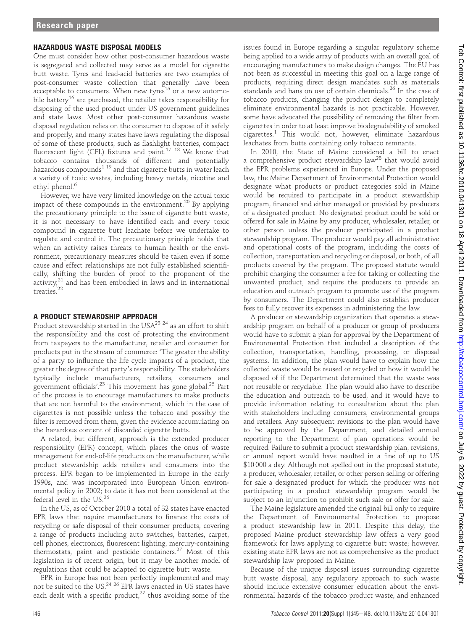#### HAZARDOUS WASTE DISPOSAL MODELS

One must consider how other post-consumer hazardous waste is segregated and collected may serve as a model for cigarette butt waste. Tyres and lead-acid batteries are two examples of post-consumer waste collection that generally have been acceptable to consumers. When new tyres<sup>15</sup> or a new automobile battery<sup>16</sup> are purchased, the retailer takes responsibility for disposing of the used product under US government guidelines and state laws. Most other post-consumer hazardous waste disposal regulation relies on the consumer to dispose of it safely and properly, and many states have laws regulating the disposal of some of these products, such as flashlight batteries, compact fluorescent light (CFL) fixtures and paint.17 18 We know that tobacco contains thousands of different and potentially hazardous compounds<sup>1 19</sup> and that cigarette butts in water leach a variety of toxic wastes, including heavy metals, nicotine and ethyl phenol.<sup>6</sup>

However, we have very limited knowledge on the actual toxic impact of these compounds in the environment.<sup>20</sup> By applying the precautionary principle to the issue of cigarette butt waste, it is not necessary to have identified each and every toxic compound in cigarette butt leachate before we undertake to regulate and control it. The precautionary principle holds that when an activity raises threats to human health or the environment, precautionary measures should be taken even if some cause and effect relationships are not fully established scientifi-<br>cally, shifting the burden of proof to the proponent of the cally, shifting the burden of proof to the proponent of the activity, $^{21}$  and has been embodied in laws and in international treaties.<sup>22</sup>

### A PRODUCT STEWARDSHIP APPROACH

Product stewardship started in the USA<sup>23</sup> <sup>24</sup> as an effort to shift the responsibility and the cost of protecting the environment from taxpayers to the manufacturer, retailer and consumer for products put in the stream of commerce: 'The greater the ability of a party to influence the life cycle impacts of a product, the greater the degree of that party's responsibility. The stakeholders typically include manufacturers, retailers, consumers and government officials'.<sup>23</sup> This movement has gone global.<sup>25</sup> Part of the process is to encourage manufacturers to make products that are not harmful to the environment, which in the case of cigarettes is not possible unless the tobacco and possibly the filter is removed from them, given the evidence accumulating on the hazardous content of discarded cigarette butts.

A related, but different, approach is the extended producer responsibility (EPR) concept, which places the onus of waste management for end-of-life products on the manufacturer, while product stewardship adds retailers and consumers into the process. EPR began to be implemented in Europe in the early 1990s, and was incorporated into European Union environmental policy in 2002; to date it has not been considered at the federal level in the US.<sup>26</sup>

In the US, as of October 2010 a total of 32 states have enacted EPR laws that require manufacturers to finance the costs of recycling or safe disposal of their consumer products, covering a range of products including auto switches, batteries, carpet, cell phones, electronics, fluorescent lighting, mercury-containing thermostats, paint and pesticide containers. $27$  Most of this legislation is of recent origin, but it may be another model of regulations that could be adapted to cigarette butt waste.

EPR in Europe has not been perfectly implemented and may not be suited to the US.<sup>24 26</sup> EPR laws enacted in US states have each dealt with a specific product, $27$  thus avoiding some of the

issues found in Europe regarding a singular regulatory scheme being applied to a wide array of products with an overall goal of encouraging manufacturers to make design changes. The EU has not been as successful in meeting this goal on a large range of products, requiring direct design mandates such as materials standards and bans on use of certain chemicals.<sup>26</sup> In the case of tobacco products, changing the product design to completely eliminate environmental hazards is not practicable. However, some have advocated the possibility of removing the filter from cigarettes in order to at least improve biodegradability of smoked  $cigarettes.<sup>1</sup>$  This would not, however, eliminate hazardous leachates from butts containing only tobacco remnants.

In 2010, the State of Maine considered a bill to enact a comprehensive product stewardship law<sup>28</sup> that would avoid the EPR problems experienced in Europe. Under the proposed law, the Maine Department of Environmental Protection would designate what products or product categories sold in Maine would be required to participate in a product stewardship program, financed and either managed or provided by producers of a designated product. No designated product could be sold or offered for sale in Maine by any producer, wholesaler, retailer, or other person unless the producer participated in a product stewardship program. The producer would pay all administrative and operational costs of the program, including the costs of collection, transportation and recycling or disposal, or both, of all products covered by the program. The proposed statute would prohibit charging the consumer a fee for taking or collecting the unwanted product, and require the producers to provide an education and outreach program to promote use of the program by consumers. The Department could also establish producer fees to fully recover its expenses in administering the law.

A producer or stewardship organization that operates a stewardship program on behalf of a producer or group of producers would have to submit a plan for approval by the Department of Environmental Protection that included a description of the collection, transportation, handling, processing, or disposal systems. In addition, the plan would have to explain how the collected waste would be reused or recycled or how it would be disposed of if the Department determined that the waste was not reusable or recyclable. The plan would also have to describe the education and outreach to be used, and it would have to provide information relating to consultation about the plan with stakeholders including consumers, environmental groups and retailers. Any subsequent revisions to the plan would have to be approved by the Department, and detailed annual reporting to the Department of plan operations would be required. Failure to submit a product stewardship plan, revisions, or annual report would have resulted in a fine of up to US \$10 000 a day. Although not spelled out in the proposed statute, a producer, wholesaler, retailer, or other person selling or offering for sale a designated product for which the producer was not participating in a product stewardship program would be subject to an injunction to prohibit such sale or offer for sale.

The Maine legislature amended the original bill only to require the Department of Environmental Protection to propose a product stewardship law in 2011. Despite this delay, the proposed Maine product stewardship law offers a very good framework for laws applying to cigarette butt waste; however, existing state EPR laws are not as comprehensive as the product stewardship law proposed in Maine.

Because of the unique disposal issues surrounding cigarette butt waste disposal, any regulatory approach to such waste should include extensive consumer education about the environmental hazards of the tobacco product waste, and enhanced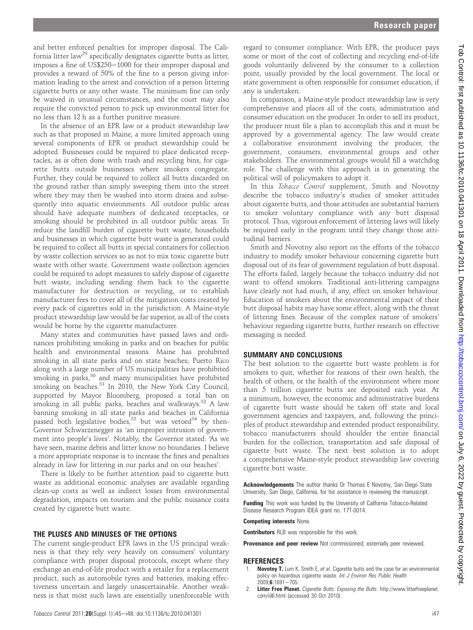and better enforced penalties for improper disposal. The California litter law<sup>29</sup> specifically designates cigarette butts as litter, imposes a fine of US\$250–1000 for their improper disposal and provides a reward of 50% of the fine to a person giving information leading to the arrest and conviction of a person littering cigarette butts or any other waste. The minimum fine can only be waived in unusual circumstances, and the court may also require the convicted person to pick up environmental litter for no less than 12 h as a further punitive measure.

In the absence of an EPR law or a product stewardship law such as that proposed in Maine, a more limited approach using several components of EPR or product stewardship could be adopted. Businesses could be required to place dedicated receptacles, as is often done with trash and recycling bins, for cigarette butts outside businesses where smokers congregate. Further, they could be required to collect all butts discarded on the ground rather than simply sweeping them into the street where they may then be washed into storm drains and subsequently into aquatic environments. All outdoor public areas should have adequate numbers of dedicated receptacles, or smoking should be prohibited in all outdoor public areas. To reduce the landfill burden of cigarette butt waste, households and businesses in which cigarette butt waste is generated could be required to collect all butts in special containers for collection by waste collection services so as not to mix toxic cigarette butt waste with other waste. Government waste collection agencies could be required to adopt measures to safely dispose of cigarette butt waste, including sending them back to the cigarette manufacturer for destruction or recycling, or to establish manufacturer fees to cover all of the mitigation costs created by every pack of cigarettes sold in the jurisdiction. A Maine-style product stewardship law would be far superior, as all of the costs would be borne by the cigarette manufacturer.

Many states and communities have passed laws and ordinances prohibiting smoking in parks and on beaches for public health and environmental reasons. Maine has prohibited smoking in all state parks and on state beaches; Puerto Rico along with a large number of US municipalities have prohibited smoking in parks,<sup>30</sup> and many municipalities have prohibited smoking on beaches.<sup>31</sup> In 2010, the New York City Council, supported by Mayor Bloomberg, proposed a total ban on smoking in all public parks, beaches and walkways. $32$  A law banning smoking in all state parks and beaches in California passed both legislative bodies,  $33$  but was vetoed  $34$  by then-Governor Schwarzenegger as 'an improper intrusion of government into people's lives'. Notably, the Governor stated: 'As we have seen, marine debris and litter know no boundaries. I believe a more appropriate response is to increase the fines and penalties already in law for littering in our parks and on our beaches'.

There is likely to be further attention paid to cigarette butt waste as additional economic analyses are available regarding clean-up costs as well as indirect losses from environmental degradation, impacts on tourism and the public nuisance costs created by cigarette butt waste.

## THE PLUSES AND MINUSES OF THE OPTIONS

The current single-product EPR laws in the US principal weakness is that they rely very heavily on consumers' voluntary compliance with proper disposal protocols, except where they exchange an end-of-life product with a retailer for a replacement product, such as automobile tyres and batteries, making effectiveness uncertain and largely unascertainable. Another weakness is that most such laws are essentially unenforceable with

regard to consumer compliance. With EPR, the producer pays some or most of the cost of collecting and recycling end-of-life goods voluntarily delivered by the consumer to a collection point, usually provided by the local government. The local or state government is often responsible for consumer education, if any is undertaken.

In comparison, a Maine-style product stewardship law is very comprehensive and places all of the costs, administration and consumer education on the producer. In order to sell its product, the producer must file a plan to accomplish this and it must be approved by a governmental agency. The law would create a collaborative environment involving the producer, the government, consumers, environmental groups and other stakeholders. The environmental groups would fill a watchdog role. The challenge with this approach is in generating the political will of policymakers to adopt it.

In this Tobacco Control supplement, Smith and Novotny describe the tobacco industry's studies of smoker attitudes about cigarette butts, and those attitudes are substantial barriers to smoker voluntary compliance with any butt disposal protocol. Thus, vigorous enforcement of littering laws will likely be required early in the program until they change those attitudinal barriers.

Smith and Novotny also report on the efforts of the tobacco industry to modify smoker behaviour concerning cigarette butt disposal out of its fear of government regulation of butt disposal. The efforts failed, largely because the tobacco industry did not want to offend smokers. Traditional anti-littering campaigns have clearly not had much, if any, effect on smoker behaviour. Education of smokers about the environmental impact of their butt disposal habits may have some effect, along with the threat of littering fines. Because of the complex nature of smokers' behaviour regarding cigarette butts, further research on effective messaging is needed.

# SUMMARY AND CONCLUSIONS

The best solution to the cigarette butt waste problem is for smokers to quit, whether for reasons of their own health, the health of others, or the health of the environment where more than 5 trillion cigarette butts are deposited each year. At a minimum, however, the economic and administrative burdens of cigarette butt waste should be taken off state and local government agencies and taxpayers, and, following the principles of product stewardship and extended product responsibility, tobacco manufacturers should shoulder the entire financial burden for the collection, transportation and safe disposal of cigarette butt waste. The next best solution is to adopt a comprehensive Maine-style product stewardship law covering cigarette butt waste.

Acknowledgements The author thanks Dr Thomas E Novotny, San Diego State University, San Diego, California, for his assistance in reviewing the manuscript.

Funding This work was funded by the University of California Tobacco-Related Disease Research Program IDEA grant no. 17T-0014.

Competing interests None.

Contributors RLB was responsible for this work.

Provenance and peer review Not commissioned; externally peer reviewed.

# REFERENCES

- Novotny T, Lum K, Smith E, et al. Cigarette butts and the case for an environmental policy on hazardous cigarette waste. Int J Environ Res Public Health  $2009; 6:1691 - 705.$
- 2. Litter Free Planet. Cigarette Butts: Exposing the Butts. http://www.litterfreeplanet. com/id6.html (accessed 30 Oct 2010).